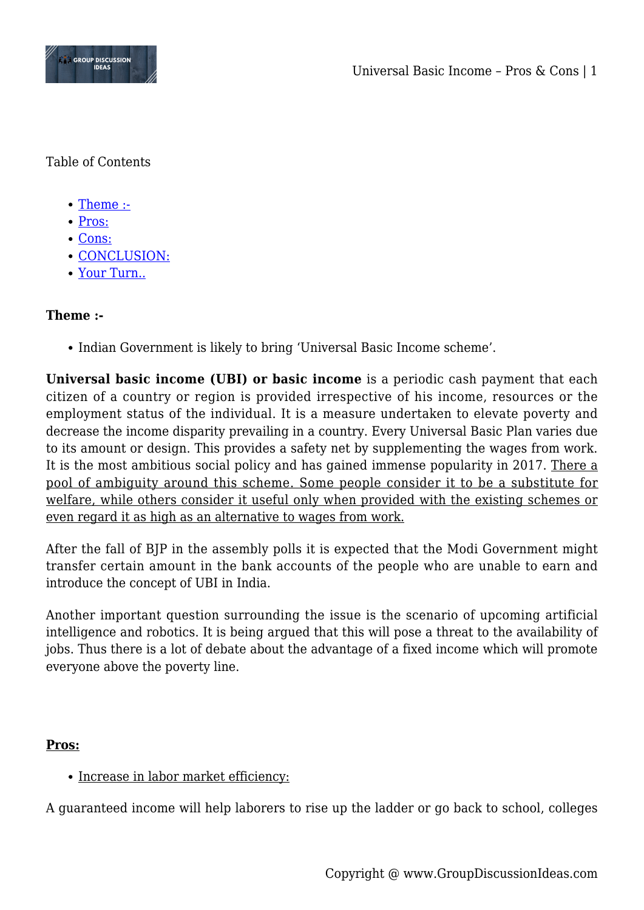

Table of Contents

- [Theme :-](#page--1-0)
- [Pros:](#page--1-0)
- [Cons:](#page--1-0)
- [CONCLUSION:](#page--1-0)
- [Your Turn..](#page--1-0)

# **Theme :-**

• Indian Government is likely to bring 'Universal Basic Income scheme'.

**Universal basic income (UBI) or basic income** is a periodic cash payment that each citizen of a country or region is provided irrespective of his income, resources or the employment status of the individual. It is a measure undertaken to elevate poverty and decrease the income disparity prevailing in a country. Every Universal Basic Plan varies due to its amount or design. This provides a safety net by supplementing the wages from work. It is the most ambitious social policy and has gained immense popularity in 2017. There a pool of ambiguity around this scheme. Some people consider it to be a substitute for welfare, while others consider it useful only when provided with the existing schemes or even regard it as high as an alternative to wages from work.

After the fall of BJP in the assembly polls it is expected that the Modi Government might transfer certain amount in the bank accounts of the people who are unable to earn and introduce the concept of UBI in India.

Another important question surrounding the issue is the scenario of upcoming artificial intelligence and robotics. It is being argued that this will pose a threat to the availability of jobs. Thus there is a lot of debate about the advantage of a fixed income which will promote everyone above the poverty line.

# **Pros:**

# • Increase in labor market efficiency:

A guaranteed income will help laborers to rise up the ladder or go back to school, colleges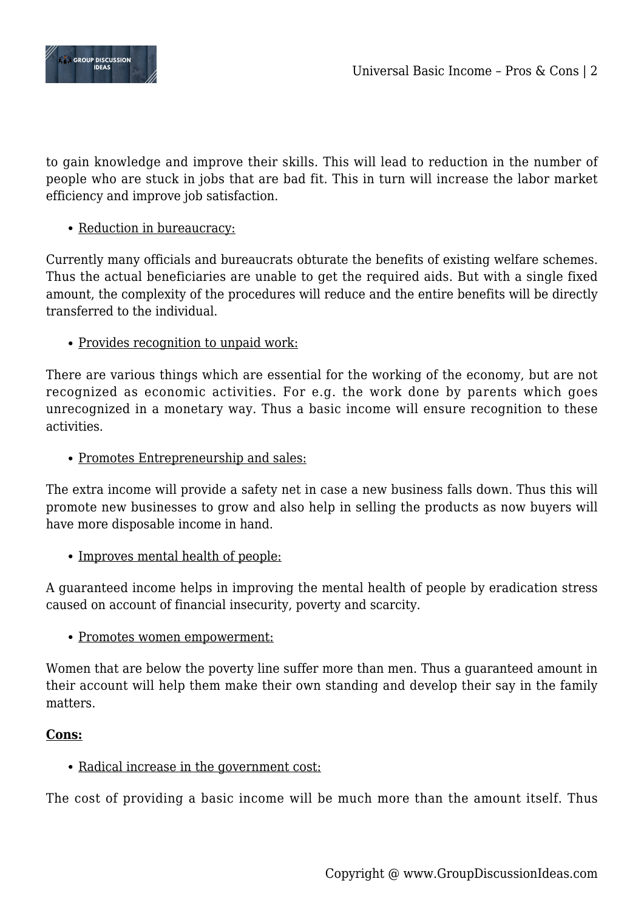

to gain knowledge and improve their skills. This will lead to reduction in the number of people who are stuck in jobs that are bad fit. This in turn will increase the labor market efficiency and improve job satisfaction.

# • Reduction in bureaucracy:

Currently many officials and bureaucrats obturate the benefits of existing welfare schemes. Thus the actual beneficiaries are unable to get the required aids. But with a single fixed amount, the complexity of the procedures will reduce and the entire benefits will be directly transferred to the individual.

### • Provides recognition to unpaid work:

There are various things which are essential for the working of the economy, but are not recognized as economic activities. For e.g. the work done by parents which goes unrecognized in a monetary way. Thus a basic income will ensure recognition to these activities.

#### • Promotes Entrepreneurship and sales:

The extra income will provide a safety net in case a new business falls down. Thus this will promote new businesses to grow and also help in selling the products as now buyers will have more disposable income in hand.

• Improves mental health of people:

A guaranteed income helps in improving the mental health of people by eradication stress caused on account of financial insecurity, poverty and scarcity.

#### • Promotes women empowerment:

Women that are below the poverty line suffer more than men. Thus a guaranteed amount in their account will help them make their own standing and develop their say in the family matters.

#### **Cons:**

# • Radical increase in the government cost:

The cost of providing a basic income will be much more than the amount itself. Thus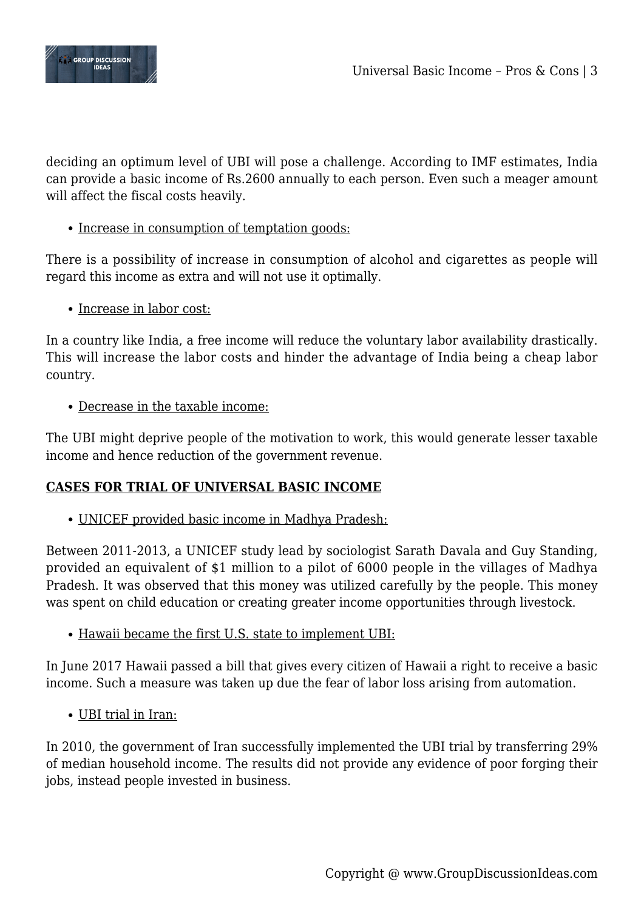

deciding an optimum level of UBI will pose a challenge. According to IMF estimates, India can provide a basic income of Rs.2600 annually to each person. Even such a meager amount will affect the fiscal costs heavily.

### • Increase in consumption of temptation goods:

There is a possibility of increase in consumption of alcohol and cigarettes as people will regard this income as extra and will not use it optimally.

### • Increase in labor cost:

In a country like India, a free income will reduce the voluntary labor availability drastically. This will increase the labor costs and hinder the advantage of India being a cheap labor country.

### Decrease in the taxable income:

The UBI might deprive people of the motivation to work, this would generate lesser taxable income and hence reduction of the government revenue.

# **CASES FOR TRIAL OF UNIVERSAL BASIC INCOME**

UNICEF provided basic income in Madhya Pradesh:

Between 2011-2013, a UNICEF study lead by sociologist Sarath Davala and Guy Standing, provided an equivalent of \$1 million to a pilot of 6000 people in the villages of Madhya Pradesh. It was observed that this money was utilized carefully by the people. This money was spent on child education or creating greater income opportunities through livestock.

Hawaii became the first U.S. state to implement UBI:

In June 2017 Hawaii passed a bill that gives every citizen of Hawaii a right to receive a basic income. Such a measure was taken up due the fear of labor loss arising from automation.

# UBI trial in Iran:

In 2010, the government of Iran successfully implemented the UBI trial by transferring 29% of median household income. The results did not provide any evidence of poor forging their jobs, instead people invested in business.